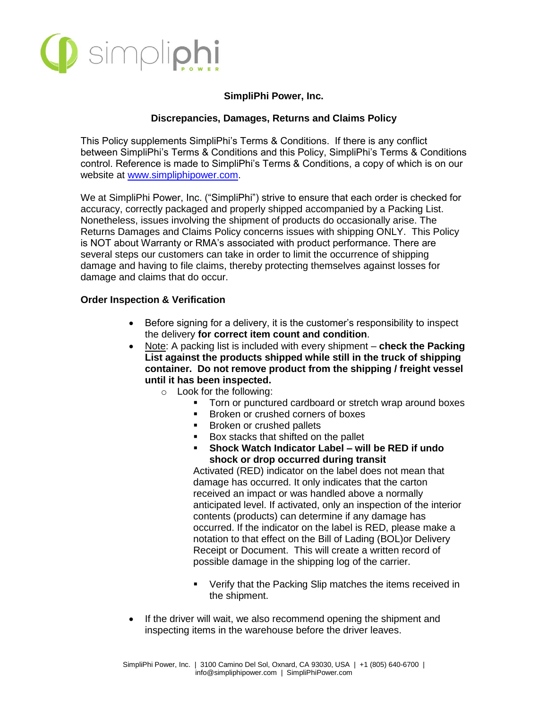

### **SimpliPhi Power, Inc.**

### **Discrepancies, Damages, Returns and Claims Policy**

This Policy supplements SimpliPhi's Terms & Conditions. If there is any conflict between SimpliPhi's Terms & Conditions and this Policy, SimpliPhi's Terms & Conditions control. Reference is made to SimpliPhi's Terms & Conditions, a copy of which is on our website at [www.simpliphipower.com.](http://www.simpliphipower.com/)

We at SimpliPhi Power, Inc. ("SimpliPhi") strive to ensure that each order is checked for accuracy, correctly packaged and properly shipped accompanied by a Packing List. Nonetheless, issues involving the shipment of products do occasionally arise. The Returns Damages and Claims Policy concerns issues with shipping ONLY. This Policy is NOT about Warranty or RMA's associated with product performance. There are several steps our customers can take in order to limit the occurrence of shipping damage and having to file claims, thereby protecting themselves against losses for damage and claims that do occur.

#### **Order Inspection & Verification**

- Before signing for a delivery, it is the customer's responsibility to inspect the delivery **for correct item count and condition**.
- Note: A packing list is included with every shipment **check the Packing List against the products shipped while still in the truck of shipping container. Do not remove product from the shipping / freight vessel until it has been inspected.**
	- o Look for the following:
		- Torn or punctured cardboard or stretch wrap around boxes
		- Broken or crushed corners of boxes
		- **Broken or crushed pallets**
		- Box stacks that shifted on the pallet
		- **Shock Watch Indicator Label – will be RED if undo shock or drop occurred during transit**

Activated (RED) indicator on the label does not mean that damage has occurred. It only indicates that the carton received an impact or was handled above a normally anticipated level. If activated, only an inspection of the interior contents (products) can determine if any damage has occurred. If the indicator on the label is RED, please make a notation to that effect on the Bill of Lading (BOL)or Delivery Receipt or Document. This will create a written record of possible damage in the shipping log of the carrier.

- Verify that the Packing Slip matches the items received in the shipment.
- If the driver will wait, we also recommend opening the shipment and inspecting items in the warehouse before the driver leaves.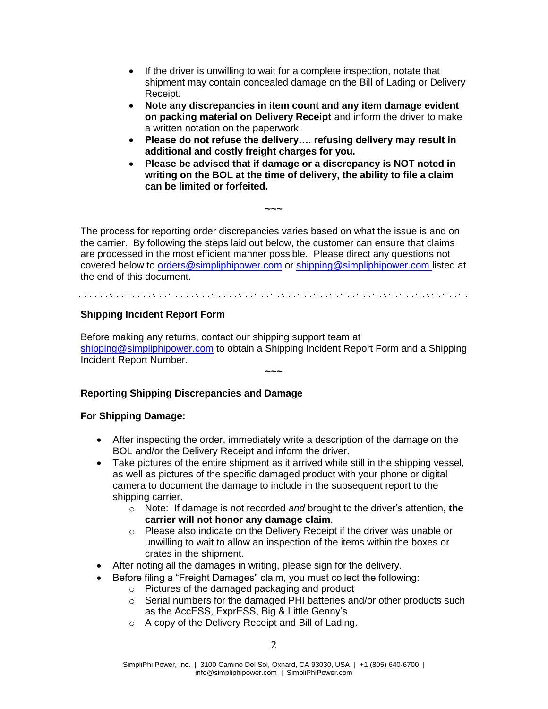- If the driver is unwilling to wait for a complete inspection, notate that shipment may contain concealed damage on the Bill of Lading or Delivery Receipt.
- **Note any discrepancies in item count and any item damage evident on packing material on Delivery Receipt** and inform the driver to make a written notation on the paperwork.
- **Please do not refuse the delivery…. refusing delivery may result in additional and costly freight charges for you.**
- **Please be advised that if damage or a discrepancy is NOT noted in writing on the BOL at the time of delivery, the ability to file a claim can be limited or forfeited.**

The process for reporting order discrepancies varies based on what the issue is and on the carrier. By following the steps laid out below, the customer can ensure that claims are processed in the most efficient manner possible. Please direct any questions not covered below to [orders@simpliphipower.com](mailto:orders@simpliphipower.com) or [shipping@simpliphipower.com](mailto:shipping@simpliphipower.com) listed at the end of this document.

**~~~**

### **Shipping Incident Report Form**

Before making any returns, contact our shipping support team at [shipping@simpliphipower.com](mailto:shipping@simpliphipower.com) to obtain a Shipping Incident Report Form and a Shipping Incident Report Number.

**~~~**

# **Reporting Shipping Discrepancies and Damage**

### **For Shipping Damage:**

- After inspecting the order, immediately write a description of the damage on the BOL and/or the Delivery Receipt and inform the driver.
- Take pictures of the entire shipment as it arrived while still in the shipping vessel, as well as pictures of the specific damaged product with your phone or digital camera to document the damage to include in the subsequent report to the shipping carrier.
	- o Note: If damage is not recorded *and* brought to the driver's attention, **the carrier will not honor any damage claim**.
	- o Please also indicate on the Delivery Receipt if the driver was unable or unwilling to wait to allow an inspection of the items within the boxes or crates in the shipment.
- After noting all the damages in writing, please sign for the delivery.
- Before filing a "Freight Damages" claim, you must collect the following:
	- o Pictures of the damaged packaging and product
	- $\circ$  Serial numbers for the damaged PHI batteries and/or other products such as the AccESS, ExprESS, Big & Little Genny's.
	- o A copy of the Delivery Receipt and Bill of Lading.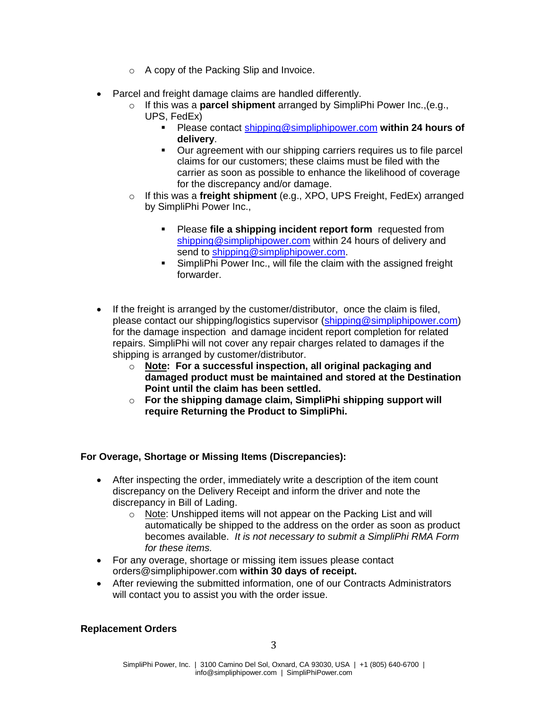- o A copy of the Packing Slip and Invoice.
- Parcel and freight damage claims are handled differently.
	- o If this was a **parcel shipment** arranged by SimpliPhi Power Inc.,(e.g., UPS, FedEx)
		- Please contact [shipping@simpliphipower.com](mailto:shipping@simpliphipower.com) **within 24 hours of delivery**.
		- Our agreement with our shipping carriers requires us to file parcel claims for our customers; these claims must be filed with the carrier as soon as possible to enhance the likelihood of coverage for the discrepancy and/or damage.
	- o If this was a **freight shipment** (e.g., XPO, UPS Freight, FedEx) arranged by SimpliPhi Power Inc.,
		- Please **file a shipping incident report form** requested from [shipping@simpliphipower.com](mailto:shipping@simpliphipower.com) within 24 hours of delivery and send to [shipping@simpliphipower.com.](mailto:shipping@simpliphipower.com)
		- SimpliPhi Power Inc., will file the claim with the assigned freight forwarder.
- If the freight is arranged by the customer/distributor, once the claim is filed, please contact our shipping/logistics supervisor [\(shipping@simpliphipower.com\)](mailto:shipping@simpliphipower.com) for the damage inspection and damage incident report completion for related repairs. SimpliPhi will not cover any repair charges related to damages if the shipping is arranged by customer/distributor.
	- o **Note: For a successful inspection, all original packaging and damaged product must be maintained and stored at the Destination Point until the claim has been settled.**
	- o **For the shipping damage claim, SimpliPhi shipping support will require Returning the Product to SimpliPhi.**

# **For Overage, Shortage or Missing Items (Discrepancies):**

- After inspecting the order, immediately write a description of the item count discrepancy on the Delivery Receipt and inform the driver and note the discrepancy in Bill of Lading.
	- o Note: Unshipped items will not appear on the Packing List and will automatically be shipped to the address on the order as soon as product becomes available. *It is not necessary to submit a SimpliPhi RMA Form for these items.*
- For any overage, shortage or missing item issues please contact orders@simpliphipower.com **within 30 days of receipt.**
- After reviewing the submitted information, one of our Contracts Administrators will contact you to assist you with the order issue.

### **Replacement Orders**